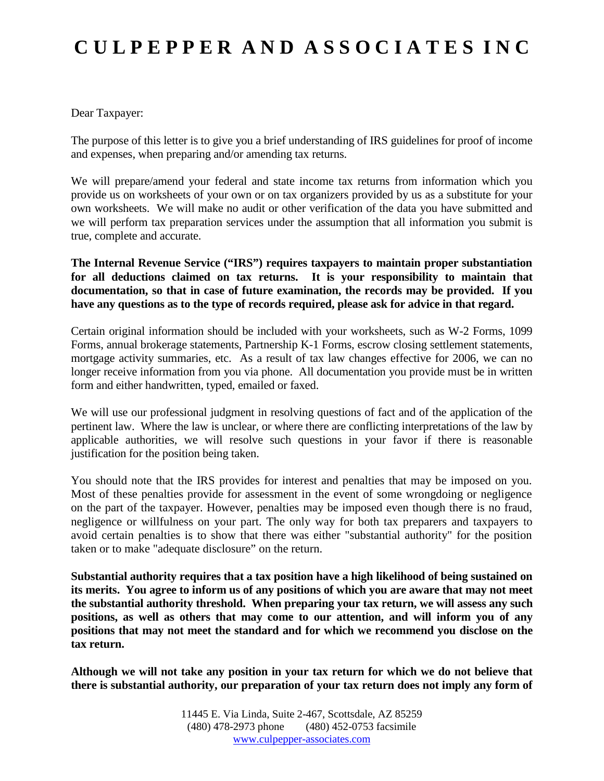## **C U L P E P P E R A N D A S S O C I A T E S I N C**

Dear Taxpayer:

The purpose of this letter is to give you a brief understanding of IRS guidelines for proof of income and expenses, when preparing and/or amending tax returns.

We will prepare/amend your federal and state income tax returns from information which you provide us on worksheets of your own or on tax organizers provided by us as a substitute for your own worksheets. We will make no audit or other verification of the data you have submitted and we will perform tax preparation services under the assumption that all information you submit is true, complete and accurate.

**The Internal Revenue Service ("IRS") requires taxpayers to maintain proper substantiation for all deductions claimed on tax returns. It is your responsibility to maintain that documentation, so that in case of future examination, the records may be provided. If you have any questions as to the type of records required, please ask for advice in that regard.**

Certain original information should be included with your worksheets, such as W-2 Forms, 1099 Forms, annual brokerage statements, Partnership K-1 Forms, escrow closing settlement statements, mortgage activity summaries, etc. As a result of tax law changes effective for 2006, we can no longer receive information from you via phone. All documentation you provide must be in written form and either handwritten, typed, emailed or faxed.

We will use our professional judgment in resolving questions of fact and of the application of the pertinent law. Where the law is unclear, or where there are conflicting interpretations of the law by applicable authorities, we will resolve such questions in your favor if there is reasonable justification for the position being taken.

You should note that the IRS provides for interest and penalties that may be imposed on you. Most of these penalties provide for assessment in the event of some wrongdoing or negligence on the part of the taxpayer. However, penalties may be imposed even though there is no fraud, negligence or willfulness on your part. The only way for both tax preparers and taxpayers to avoid certain penalties is to show that there was either "substantial authority" for the position taken or to make "adequate disclosure" on the return.

**Substantial authority requires that a tax position have a high likelihood of being sustained on its merits. You agree to inform us of any positions of which you are aware that may not meet the substantial authority threshold. When preparing your tax return, we will assess any such positions, as well as others that may come to our attention, and will inform you of any positions that may not meet the standard and for which we recommend you disclose on the tax return.**

**Although we will not take any position in your tax return for which we do not believe that there is substantial authority, our preparation of your tax return does not imply any form of**